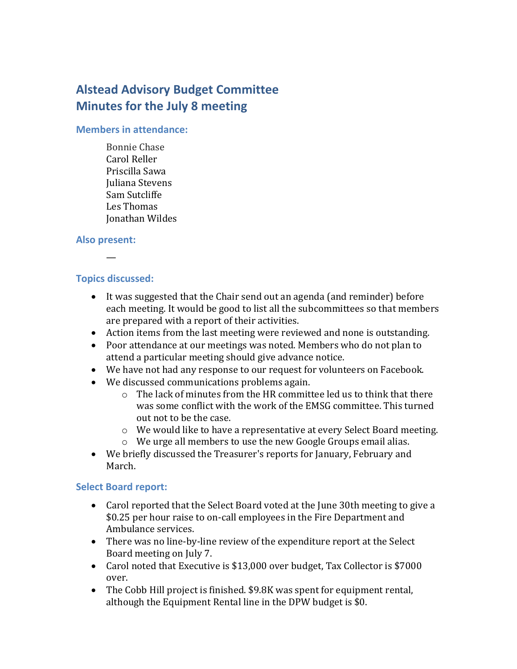# **Alstead Advisory Budget Committee Minutes for the July 8 meeting**

#### **Members in attendance:**

Bonnie Chase Carol Reller Priscilla Sawa Juliana Stevens Sam Sutcliffe Les Thomas Jonathan Wildes

#### **Also present:**

## **Topics discussed:**

—

- It was suggested that the Chair send out an agenda (and reminder) before each meeting. It would be good to list all the subcommittees so that members are prepared with a report of their activities.
- Action items from the last meeting were reviewed and none is outstanding.
- Poor attendance at our meetings was noted. Members who do not plan to attend a particular meeting should give advance notice.
- We have not had any response to our request for volunteers on Facebook.
- We discussed communications problems again.
	- $\circ$  The lack of minutes from the HR committee led us to think that there was some conflict with the work of the EMSG committee. This turned out not to be the case.
	- $\circ$  We would like to have a representative at every Select Board meeting.
	- o We urge all members to use the new Google Groups email alias.
- We briefly discussed the Treasurer's reports for January, February and March.

#### **Select Board report:**

- Carol reported that the Select Board voted at the June 30th meeting to give a \$0.25 per hour raise to on-call employees in the Fire Department and Ambulance services.
- There was no line-by-line review of the expenditure report at the Select Board meeting on July 7.
- Carol noted that Executive is \$13,000 over budget, Tax Collector is \$7000 over.
- The Cobb Hill project is finished. \$9.8K was spent for equipment rental, although the Equipment Rental line in the DPW budget is \$0.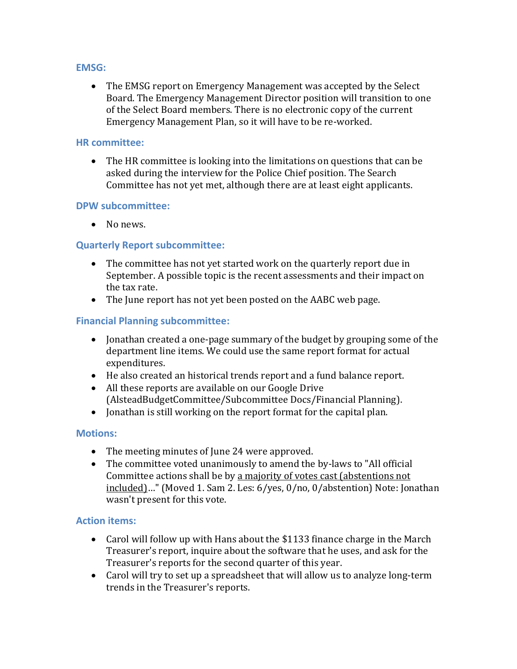#### **EMSG:**

 The EMSG report on Emergency Management was accepted by the Select Board. The Emergency Management Director position will transition to one of the Select Board members. There is no electronic copy of the current Emergency Management Plan, so it will have to be re-worked.

#### **HR committee:**

 The HR committee is looking into the limitations on questions that can be asked during the interview for the Police Chief position. The Search Committee has not yet met, although there are at least eight applicants.

#### **DPW subcommittee:**

• No news.

## **Quarterly Report subcommittee:**

- The committee has not yet started work on the quarterly report due in September. A possible topic is the recent assessments and their impact on the tax rate.
- The June report has not yet been posted on the AABC web page.

### **Financial Planning subcommittee:**

- Jonathan created a one-page summary of the budget by grouping some of the department line items. We could use the same report format for actual expenditures.
- He also created an historical trends report and a fund balance report.
- All these reports are available on our Google Drive (AlsteadBudgetCommittee/Subcommittee Docs/Financial Planning).
- Jonathan is still working on the report format for the capital plan.

#### **Motions:**

- The meeting minutes of June 24 were approved.
- The committee voted unanimously to amend the by-laws to "All official Committee actions shall be by a majority of votes cast (abstentions not included)…" (Moved 1. Sam 2. Les: 6/yes, 0/no, 0/abstention) Note: Jonathan wasn't present for this vote.

#### **Action items:**

- Carol will follow up with Hans about the \$1133 finance charge in the March Treasurer's report, inquire about the software that he uses, and ask for the Treasurer's reports for the second quarter of this year.
- Carol will try to set up a spreadsheet that will allow us to analyze long-term trends in the Treasurer's reports.